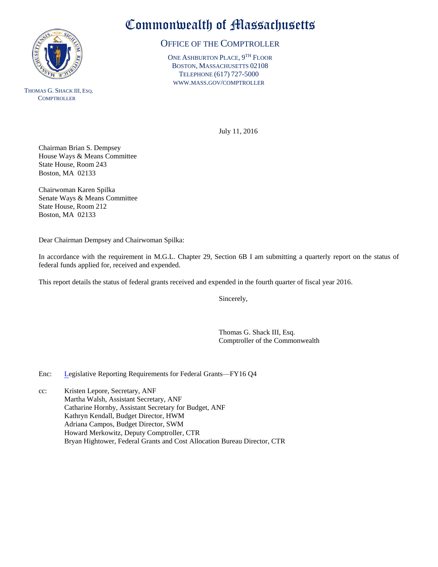

THOMAS G. SHACK III, ESQ. **COMPTROLLER** 

## Commonwealth of Massachusetts

## OFFICE OF THE COMPTROLLER

ONE ASHBURTON PLACE, 9<sup>TH</sup> FLOOR BOSTON, MASSACHUSETTS 02108 TELEPHONE (617) 727-5000 WWW.MASS.GOV/COMPTROLLER

July 11, 2016

Chairman Brian S. Dempsey House Ways & Means Committee State House, Room 243 Boston, MA 02133

Chairwoman Karen Spilka Senate Ways & Means Committee State House, Room 212 Boston, MA 02133

Dear Chairman Dempsey and Chairwoman Spilka:

In accordance with the requirement in M.G.L. Chapter 29, Section 6B I am submitting a quarterly report on the status of federal funds applied for, received and expended.

This report details the status of federal grants received and expended in the fourth quarter of fiscal year 2016.

Sincerely,

Thomas G. Shack III, Esq. Comptroller of the Commonwealth

Enc: Legislative Reporting Requirements for Federal Grants—FY16 Q4

cc: Kristen Lepore, Secretary, ANF Martha Walsh, Assistant Secretary, ANF Catharine Hornby, Assistant Secretary for Budget, ANF Kathryn Kendall, Budget Director, HWM Adriana Campos, Budget Director, SWM Howard Merkowitz, Deputy Comptroller, CTR Bryan Hightower, Federal Grants and Cost Allocation Bureau Director, CTR